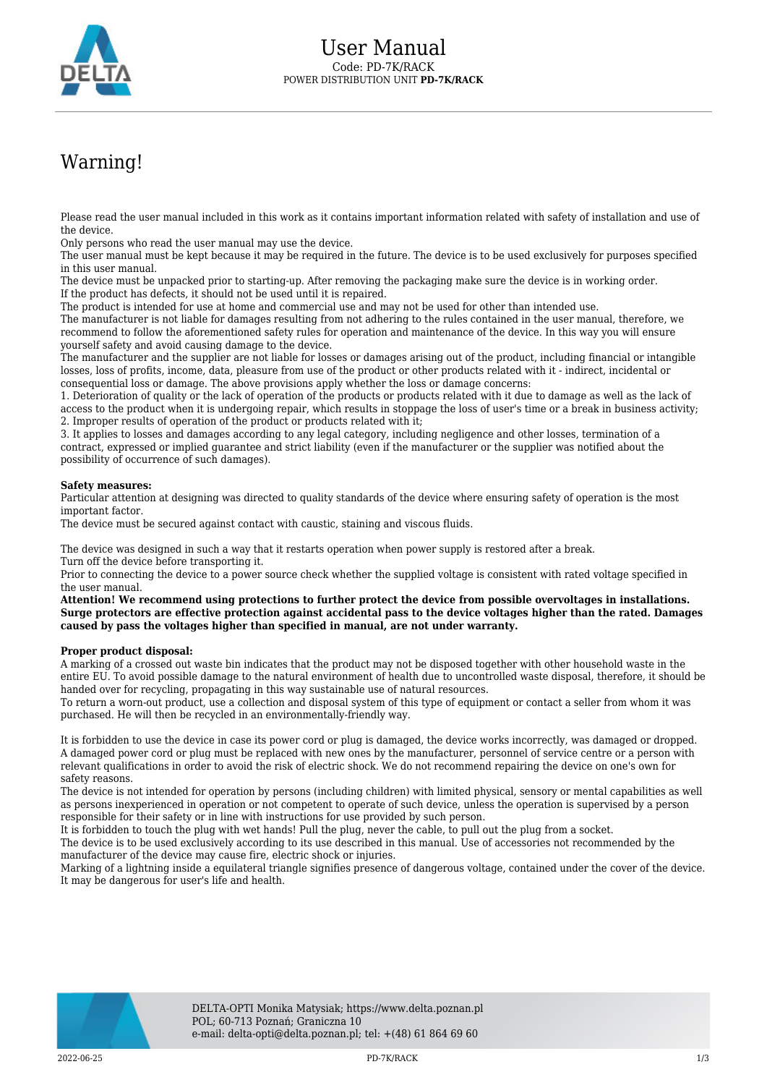

## Warning!

Please read the user manual included in this work as it contains important information related with safety of installation and use of the device.

Only persons who read the user manual may use the device.

The user manual must be kept because it may be required in the future. The device is to be used exclusively for purposes specified in this user manual.

The device must be unpacked prior to starting-up. After removing the packaging make sure the device is in working order. If the product has defects, it should not be used until it is repaired.

The product is intended for use at home and commercial use and may not be used for other than intended use.

The manufacturer is not liable for damages resulting from not adhering to the rules contained in the user manual, therefore, we recommend to follow the aforementioned safety rules for operation and maintenance of the device. In this way you will ensure yourself safety and avoid causing damage to the device.

The manufacturer and the supplier are not liable for losses or damages arising out of the product, including financial or intangible losses, loss of profits, income, data, pleasure from use of the product or other products related with it - indirect, incidental or consequential loss or damage. The above provisions apply whether the loss or damage concerns:

1. Deterioration of quality or the lack of operation of the products or products related with it due to damage as well as the lack of access to the product when it is undergoing repair, which results in stoppage the loss of user's time or a break in business activity; 2. Improper results of operation of the product or products related with it;

3. It applies to losses and damages according to any legal category, including negligence and other losses, termination of a contract, expressed or implied guarantee and strict liability (even if the manufacturer or the supplier was notified about the possibility of occurrence of such damages).

## **Safety measures:**

Particular attention at designing was directed to quality standards of the device where ensuring safety of operation is the most important factor.

The device must be secured against contact with caustic, staining and viscous fluids.

The device was designed in such a way that it restarts operation when power supply is restored after a break. Turn off the device before transporting it.

Prior to connecting the device to a power source check whether the supplied voltage is consistent with rated voltage specified in the user manual.

**Attention! We recommend using protections to further protect the device from possible overvoltages in installations. Surge protectors are effective protection against accidental pass to the device voltages higher than the rated. Damages caused by pass the voltages higher than specified in manual, are not under warranty.**

## **Proper product disposal:**

A marking of a crossed out waste bin indicates that the product may not be disposed together with other household waste in the entire EU. To avoid possible damage to the natural environment of health due to uncontrolled waste disposal, therefore, it should be handed over for recycling, propagating in this way sustainable use of natural resources.

To return a worn-out product, use a collection and disposal system of this type of equipment or contact a seller from whom it was purchased. He will then be recycled in an environmentally-friendly way.

It is forbidden to use the device in case its power cord or plug is damaged, the device works incorrectly, was damaged or dropped. A damaged power cord or plug must be replaced with new ones by the manufacturer, personnel of service centre or a person with relevant qualifications in order to avoid the risk of electric shock. We do not recommend repairing the device on one's own for safety reasons.

The device is not intended for operation by persons (including children) with limited physical, sensory or mental capabilities as well as persons inexperienced in operation or not competent to operate of such device, unless the operation is supervised by a person responsible for their safety or in line with instructions for use provided by such person.

It is forbidden to touch the plug with wet hands! Pull the plug, never the cable, to pull out the plug from a socket.

The device is to be used exclusively according to its use described in this manual. Use of accessories not recommended by the manufacturer of the device may cause fire, electric shock or injuries.

Marking of a lightning inside a equilateral triangle signifies presence of dangerous voltage, contained under the cover of the device. It may be dangerous for user's life and health.

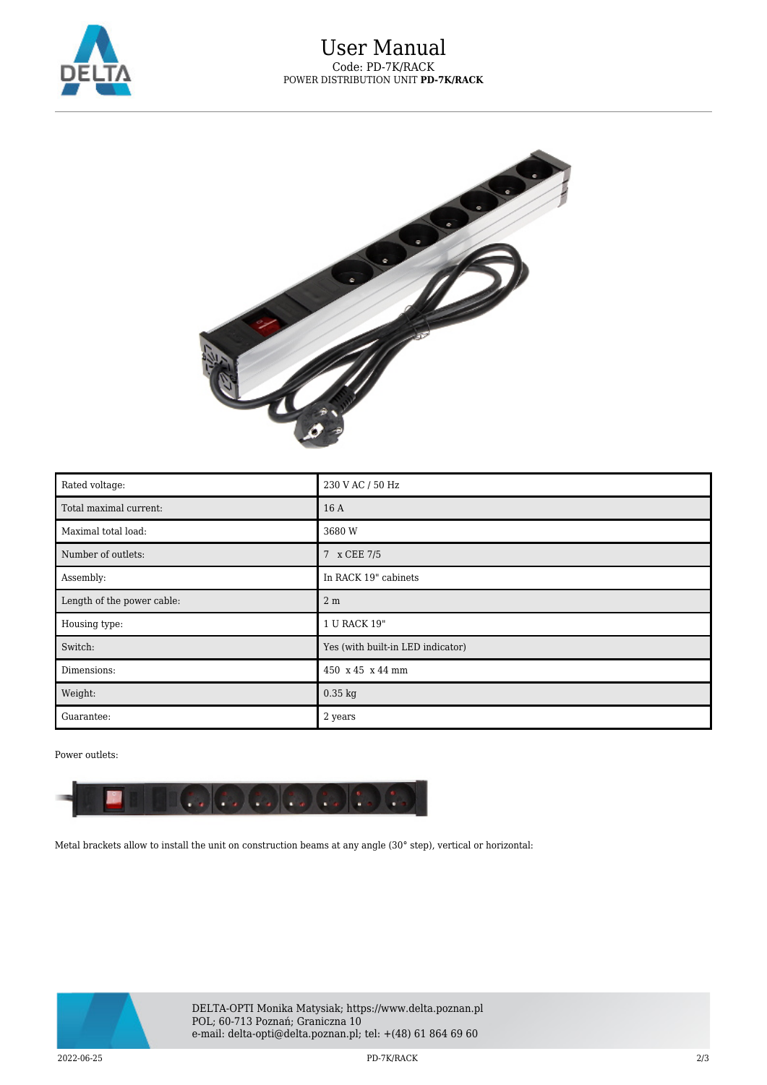



| Rated voltage:             | 230 V AC / 50 Hz                  |
|----------------------------|-----------------------------------|
| Total maximal current:     | 16 A                              |
| Maximal total load:        | 3680 W                            |
| Number of outlets:         | 7 x CEE 7/5                       |
| Assembly:                  | In RACK 19" cabinets              |
| Length of the power cable: | 2 <sub>m</sub>                    |
| Housing type:              | 1 U RACK 19"                      |
| Switch:                    | Yes (with built-in LED indicator) |
| Dimensions:                | 450 x 45 x 44 mm                  |
| Weight:                    | $0.35$ kg                         |
| Guarantee:                 | 2 years                           |

## Power outlets:



Metal brackets allow to install the unit on construction beams at any angle (30° step), vertical or horizontal: